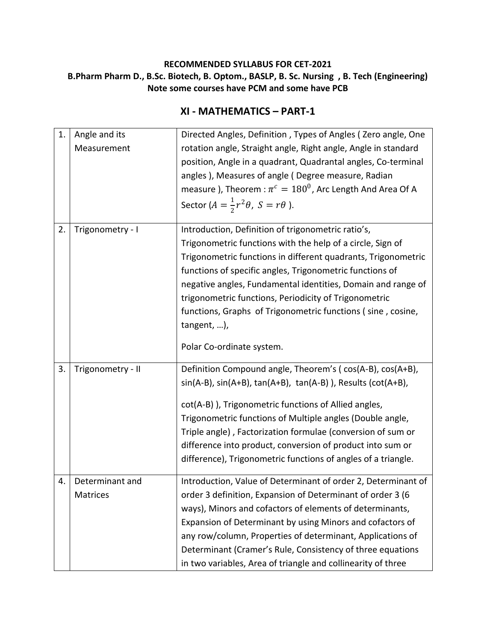#### **RECOMMENDED SYLLABUS FOR CET-2021 B.Pharm Pharm D., B.Sc. Biotech, B. Optom., BASLP, B. Sc. Nursing , B. Tech (Engineering) Note some courses have PCM and some have PCB**

#### **XI - MATHEMATICS – PART-1**

| 1. | Angle and its<br>Measurement       | Directed Angles, Definition, Types of Angles (Zero angle, One<br>rotation angle, Straight angle, Right angle, Angle in standard<br>position, Angle in a quadrant, Quadrantal angles, Co-terminal<br>angles), Measures of angle (Degree measure, Radian<br>measure ), Theorem : $\pi^c = 180^0$ , Arc Length And Area Of A<br>Sector ( $A = \frac{1}{2}r^2\theta$ , $S = r\theta$ ).                                                                                               |
|----|------------------------------------|-----------------------------------------------------------------------------------------------------------------------------------------------------------------------------------------------------------------------------------------------------------------------------------------------------------------------------------------------------------------------------------------------------------------------------------------------------------------------------------|
| 2. | Trigonometry - I                   | Introduction, Definition of trigonometric ratio's,<br>Trigonometric functions with the help of a circle, Sign of<br>Trigonometric functions in different quadrants, Trigonometric<br>functions of specific angles, Trigonometric functions of<br>negative angles, Fundamental identities, Domain and range of<br>trigonometric functions, Periodicity of Trigonometric<br>functions, Graphs of Trigonometric functions (sine, cosine,<br>tangent, ),<br>Polar Co-ordinate system. |
|    |                                    |                                                                                                                                                                                                                                                                                                                                                                                                                                                                                   |
| 3. | Trigonometry - II                  | Definition Compound angle, Theorem's (cos(A-B), cos(A+B),<br>$sin(A-B)$ , $sin(A+B)$ , $tan(A+B)$ , $tan(A-B)$ ), Results ( $cot(A+B)$ ,<br>cot(A-B)), Trigonometric functions of Allied angles,<br>Trigonometric functions of Multiple angles (Double angle,<br>Triple angle), Factorization formulae (conversion of sum or<br>difference into product, conversion of product into sum or<br>difference), Trigonometric functions of angles of a triangle.                       |
| 4. | Determinant and<br><b>Matrices</b> | Introduction, Value of Determinant of order 2, Determinant of<br>order 3 definition, Expansion of Determinant of order 3 (6<br>ways), Minors and cofactors of elements of determinants,<br>Expansion of Determinant by using Minors and cofactors of<br>any row/column, Properties of determinant, Applications of<br>Determinant (Cramer's Rule, Consistency of three equations<br>in two variables, Area of triangle and collinearity of three                                  |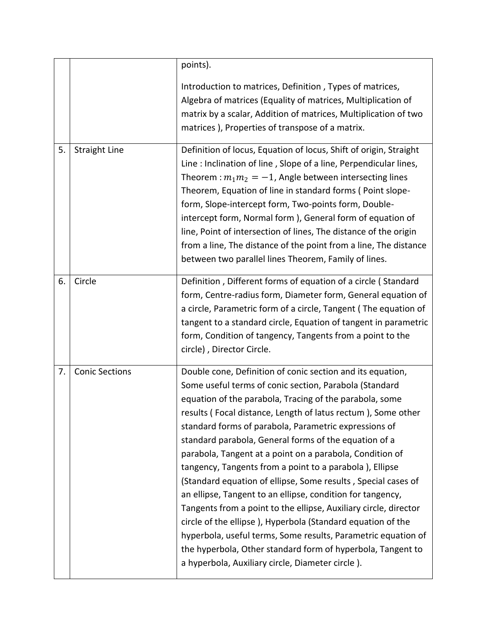|    |                       | points).                                                                                                                                                                                                                                                                                                                                                                                                                                                                                                                                                                                                                                                                                                                                                                                                                                                                                                                                       |
|----|-----------------------|------------------------------------------------------------------------------------------------------------------------------------------------------------------------------------------------------------------------------------------------------------------------------------------------------------------------------------------------------------------------------------------------------------------------------------------------------------------------------------------------------------------------------------------------------------------------------------------------------------------------------------------------------------------------------------------------------------------------------------------------------------------------------------------------------------------------------------------------------------------------------------------------------------------------------------------------|
|    |                       | Introduction to matrices, Definition, Types of matrices,<br>Algebra of matrices (Equality of matrices, Multiplication of<br>matrix by a scalar, Addition of matrices, Multiplication of two<br>matrices), Properties of transpose of a matrix.                                                                                                                                                                                                                                                                                                                                                                                                                                                                                                                                                                                                                                                                                                 |
| 5. | <b>Straight Line</b>  | Definition of locus, Equation of locus, Shift of origin, Straight<br>Line : Inclination of line, Slope of a line, Perpendicular lines,<br>Theorem : $m_1 m_2 = -1$ , Angle between intersecting lines<br>Theorem, Equation of line in standard forms (Point slope-<br>form, Slope-intercept form, Two-points form, Double-<br>intercept form, Normal form), General form of equation of<br>line, Point of intersection of lines, The distance of the origin<br>from a line, The distance of the point from a line, The distance<br>between two parallel lines Theorem, Family of lines.                                                                                                                                                                                                                                                                                                                                                        |
| 6. | Circle                | Definition, Different forms of equation of a circle (Standard<br>form, Centre-radius form, Diameter form, General equation of<br>a circle, Parametric form of a circle, Tangent (The equation of<br>tangent to a standard circle, Equation of tangent in parametric<br>form, Condition of tangency, Tangents from a point to the<br>circle), Director Circle.                                                                                                                                                                                                                                                                                                                                                                                                                                                                                                                                                                                  |
| 7. | <b>Conic Sections</b> | Double cone, Definition of conic section and its equation,<br>Some useful terms of conic section, Parabola (Standard<br>equation of the parabola, Tracing of the parabola, some<br>results (Focal distance, Length of latus rectum), Some other<br>standard forms of parabola, Parametric expressions of<br>standard parabola, General forms of the equation of a<br>parabola, Tangent at a point on a parabola, Condition of<br>tangency, Tangents from a point to a parabola), Ellipse<br>(Standard equation of ellipse, Some results, Special cases of<br>an ellipse, Tangent to an ellipse, condition for tangency,<br>Tangents from a point to the ellipse, Auxiliary circle, director<br>circle of the ellipse), Hyperbola (Standard equation of the<br>hyperbola, useful terms, Some results, Parametric equation of<br>the hyperbola, Other standard form of hyperbola, Tangent to<br>a hyperbola, Auxiliary circle, Diameter circle). |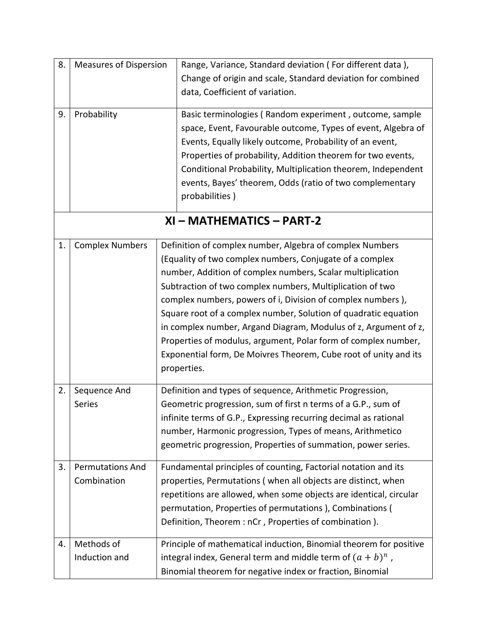| 8. | <b>Measures of Dispersion</b>          | Range, Variance, Standard deviation (For different data),                                                                                                                                                                                                                                                                                                                                                                                                                                                                                                                                                 |  |
|----|----------------------------------------|-----------------------------------------------------------------------------------------------------------------------------------------------------------------------------------------------------------------------------------------------------------------------------------------------------------------------------------------------------------------------------------------------------------------------------------------------------------------------------------------------------------------------------------------------------------------------------------------------------------|--|
|    |                                        | Change of origin and scale, Standard deviation for combined<br>data, Coefficient of variation.                                                                                                                                                                                                                                                                                                                                                                                                                                                                                                            |  |
| 9. | Probability                            | Basic terminologies (Random experiment, outcome, sample<br>space, Event, Favourable outcome, Types of event, Algebra of<br>Events, Equally likely outcome, Probability of an event,<br>Properties of probability, Addition theorem for two events,<br>Conditional Probability, Multiplication theorem, Independent<br>events, Bayes' theorem, Odds (ratio of two complementary<br>probabilities)                                                                                                                                                                                                          |  |
|    | XI - MATHEMATICS - PART-2              |                                                                                                                                                                                                                                                                                                                                                                                                                                                                                                                                                                                                           |  |
| 1. | <b>Complex Numbers</b>                 | Definition of complex number, Algebra of complex Numbers<br>(Equality of two complex numbers, Conjugate of a complex<br>number, Addition of complex numbers, Scalar multiplication<br>Subtraction of two complex numbers, Multiplication of two<br>complex numbers, powers of i, Division of complex numbers),<br>Square root of a complex number, Solution of quadratic equation<br>in complex number, Argand Diagram, Modulus of z, Argument of z,<br>Properties of modulus, argument, Polar form of complex number,<br>Exponential form, De Moivres Theorem, Cube root of unity and its<br>properties. |  |
| 2. | Sequence And<br>Series                 | Definition and types of sequence, Arithmetic Progression,<br>Geometric progression, sum of first n terms of a G.P., sum of<br>infinite terms of G.P., Expressing recurring decimal as rational<br>number, Harmonic progression, Types of means, Arithmetico<br>geometric progression, Properties of summation, power series.                                                                                                                                                                                                                                                                              |  |
| 3. | <b>Permutations And</b><br>Combination | Fundamental principles of counting, Factorial notation and its<br>properties, Permutations (when all objects are distinct, when<br>repetitions are allowed, when some objects are identical, circular<br>permutation, Properties of permutations ), Combinations (<br>Definition, Theorem : nCr, Properties of combination).                                                                                                                                                                                                                                                                              |  |
| 4. | Methods of<br>Induction and            | Principle of mathematical induction, Binomial theorem for positive<br>integral index, General term and middle term of $(a + b)^n$ ,<br>Binomial theorem for negative index or fraction, Binomial                                                                                                                                                                                                                                                                                                                                                                                                          |  |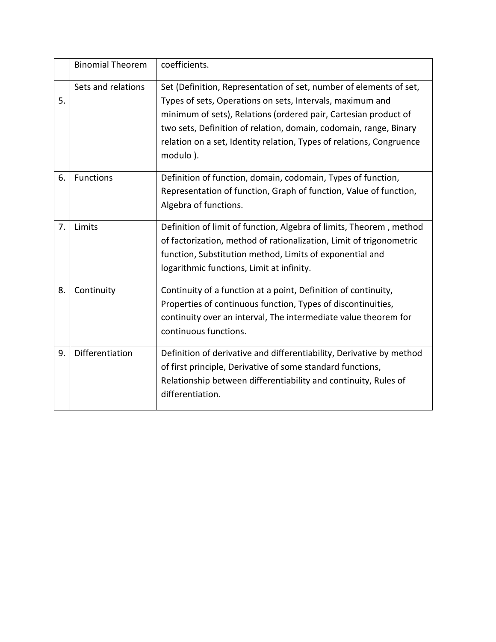|    | <b>Binomial Theorem</b> | coefficients.                                                                                                                                                                                                                                                                                                                                               |
|----|-------------------------|-------------------------------------------------------------------------------------------------------------------------------------------------------------------------------------------------------------------------------------------------------------------------------------------------------------------------------------------------------------|
| 5. | Sets and relations      | Set (Definition, Representation of set, number of elements of set,<br>Types of sets, Operations on sets, Intervals, maximum and<br>minimum of sets), Relations (ordered pair, Cartesian product of<br>two sets, Definition of relation, domain, codomain, range, Binary<br>relation on a set, Identity relation, Types of relations, Congruence<br>modulo). |
| 6. | <b>Functions</b>        | Definition of function, domain, codomain, Types of function,<br>Representation of function, Graph of function, Value of function,<br>Algebra of functions.                                                                                                                                                                                                  |
| 7. | Limits                  | Definition of limit of function, Algebra of limits, Theorem, method<br>of factorization, method of rationalization, Limit of trigonometric<br>function, Substitution method, Limits of exponential and<br>logarithmic functions, Limit at infinity.                                                                                                         |
| 8. | Continuity              | Continuity of a function at a point, Definition of continuity,<br>Properties of continuous function, Types of discontinuities,<br>continuity over an interval, The intermediate value theorem for<br>continuous functions.                                                                                                                                  |
| 9. | Differentiation         | Definition of derivative and differentiability, Derivative by method<br>of first principle, Derivative of some standard functions,<br>Relationship between differentiability and continuity, Rules of<br>differentiation.                                                                                                                                   |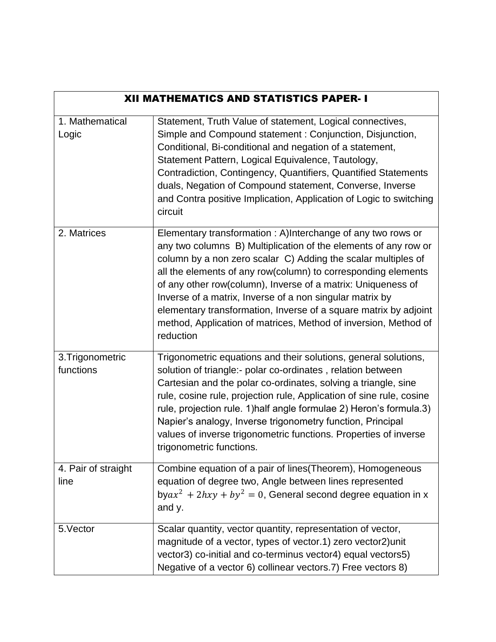| <b>XII MATHEMATICS AND STATISTICS PAPER-1</b> |                                                                                                                                                                                                                                                                                                                                                                                                                                                                                                                                                  |  |
|-----------------------------------------------|--------------------------------------------------------------------------------------------------------------------------------------------------------------------------------------------------------------------------------------------------------------------------------------------------------------------------------------------------------------------------------------------------------------------------------------------------------------------------------------------------------------------------------------------------|--|
| 1. Mathematical<br>Logic                      | Statement, Truth Value of statement, Logical connectives,<br>Simple and Compound statement: Conjunction, Disjunction,<br>Conditional, Bi-conditional and negation of a statement,<br>Statement Pattern, Logical Equivalence, Tautology,<br>Contradiction, Contingency, Quantifiers, Quantified Statements<br>duals, Negation of Compound statement, Converse, Inverse<br>and Contra positive Implication, Application of Logic to switching<br>circuit                                                                                           |  |
| 2. Matrices                                   | Elementary transformation: A)Interchange of any two rows or<br>any two columns B) Multiplication of the elements of any row or<br>column by a non zero scalar C) Adding the scalar multiples of<br>all the elements of any row(column) to corresponding elements<br>of any other row(column), Inverse of a matrix: Uniqueness of<br>Inverse of a matrix, Inverse of a non singular matrix by<br>elementary transformation, Inverse of a square matrix by adjoint<br>method, Application of matrices, Method of inversion, Method of<br>reduction |  |
| 3. Trigonometric<br>functions                 | Trigonometric equations and their solutions, general solutions,<br>solution of triangle:- polar co-ordinates, relation between<br>Cartesian and the polar co-ordinates, solving a triangle, sine<br>rule, cosine rule, projection rule, Application of sine rule, cosine<br>rule, projection rule. 1) half angle formulae 2) Heron's formula. 3)<br>Napier's analogy, Inverse trigonometry function, Principal<br>values of inverse trigonometric functions. Properties of inverse<br>trigonometric functions.                                   |  |
| 4. Pair of straight<br>line                   | Combine equation of a pair of lines (Theorem), Homogeneous<br>equation of degree two, Angle between lines represented<br>bya $x^2$ + 2hxy + by <sup>2</sup> = 0, General second degree equation in x<br>and y.                                                                                                                                                                                                                                                                                                                                   |  |
| 5. Vector                                     | Scalar quantity, vector quantity, representation of vector,<br>magnitude of a vector, types of vector.1) zero vector2) unit<br>vector3) co-initial and co-terminus vector4) equal vectors5)<br>Negative of a vector 6) collinear vectors.7) Free vectors 8)                                                                                                                                                                                                                                                                                      |  |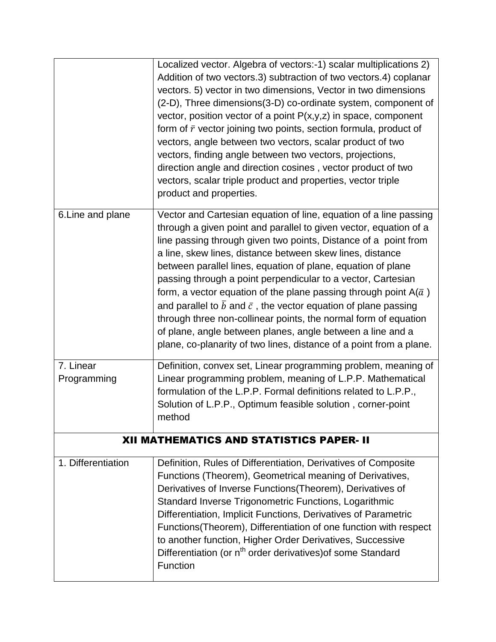|                                                 | Localized vector. Algebra of vectors:-1) scalar multiplications 2)<br>Addition of two vectors.3) subtraction of two vectors.4) coplanar<br>vectors. 5) vector in two dimensions, Vector in two dimensions<br>(2-D), Three dimensions(3-D) co-ordinate system, component of<br>vector, position vector of a point $P(x,y,z)$ in space, component<br>form of $\bar{r}$ vector joining two points, section formula, product of<br>vectors, angle between two vectors, scalar product of two<br>vectors, finding angle between two vectors, projections,<br>direction angle and direction cosines, vector product of two<br>vectors, scalar triple product and properties, vector triple<br>product and properties.                                                             |  |
|-------------------------------------------------|-----------------------------------------------------------------------------------------------------------------------------------------------------------------------------------------------------------------------------------------------------------------------------------------------------------------------------------------------------------------------------------------------------------------------------------------------------------------------------------------------------------------------------------------------------------------------------------------------------------------------------------------------------------------------------------------------------------------------------------------------------------------------------|--|
| 6. Line and plane                               | Vector and Cartesian equation of line, equation of a line passing<br>through a given point and parallel to given vector, equation of a<br>line passing through given two points, Distance of a point from<br>a line, skew lines, distance between skew lines, distance<br>between parallel lines, equation of plane, equation of plane<br>passing through a point perpendicular to a vector, Cartesian<br>form, a vector equation of the plane passing through point $A(\bar{a})$<br>and parallel to $\bar{b}$ and $\bar{c}$ , the vector equation of plane passing<br>through three non-collinear points, the normal form of equation<br>of plane, angle between planes, angle between a line and a<br>plane, co-planarity of two lines, distance of a point from a plane. |  |
| 7. Linear<br>Programming                        | Definition, convex set, Linear programming problem, meaning of<br>Linear programming problem, meaning of L.P.P. Mathematical<br>formulation of the L.P.P. Formal definitions related to L.P.P.,<br>Solution of L.P.P., Optimum feasible solution, corner-point<br>method                                                                                                                                                                                                                                                                                                                                                                                                                                                                                                    |  |
| <b>XII MATHEMATICS AND STATISTICS PAPER- II</b> |                                                                                                                                                                                                                                                                                                                                                                                                                                                                                                                                                                                                                                                                                                                                                                             |  |
| 1. Differentiation                              | Definition, Rules of Differentiation, Derivatives of Composite<br>Functions (Theorem), Geometrical meaning of Derivatives,<br>Derivatives of Inverse Functions (Theorem), Derivatives of<br>Standard Inverse Trigonometric Functions, Logarithmic<br>Differentiation, Implicit Functions, Derivatives of Parametric<br>Functions (Theorem), Differentiation of one function with respect<br>to another function, Higher Order Derivatives, Successive<br>Differentiation (or n <sup>th</sup> order derivatives) of some Standard<br>Function                                                                                                                                                                                                                                |  |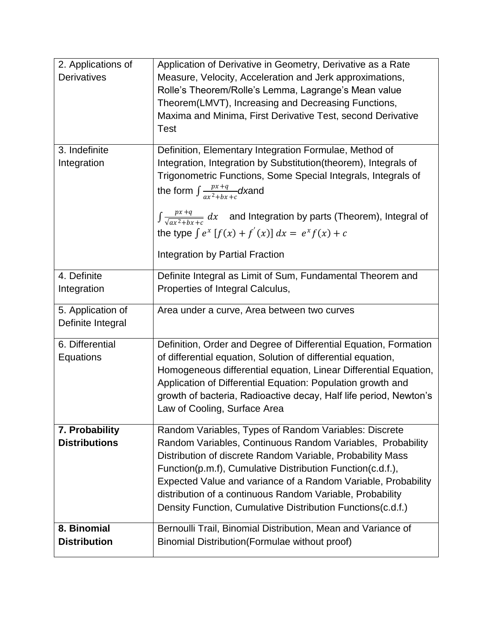| 2. Applications of   | Application of Derivative in Geometry, Derivative as a Rate                             |
|----------------------|-----------------------------------------------------------------------------------------|
| <b>Derivatives</b>   | Measure, Velocity, Acceleration and Jerk approximations,                                |
|                      | Rolle's Theorem/Rolle's Lemma, Lagrange's Mean value                                    |
|                      | Theorem (LMVT), Increasing and Decreasing Functions,                                    |
|                      | Maxima and Minima, First Derivative Test, second Derivative                             |
|                      | <b>Test</b>                                                                             |
|                      |                                                                                         |
| 3. Indefinite        | Definition, Elementary Integration Formulae, Method of                                  |
| Integration          | Integration, Integration by Substitution(theorem), Integrals of                         |
|                      | Trigonometric Functions, Some Special Integrals, Integrals of                           |
|                      | the form $\int \frac{px+q}{qx^2+bx+c}dx$ and                                            |
|                      |                                                                                         |
|                      | $\int \frac{px+q}{\sqrt{ax^2+bx+c}} dx$ and Integration by parts (Theorem), Integral of |
|                      | the type $\int e^x [f(x) + f'(x)] dx = e^x f(x) + c$                                    |
|                      |                                                                                         |
|                      | Integration by Partial Fraction                                                         |
| 4. Definite          | Definite Integral as Limit of Sum, Fundamental Theorem and                              |
| Integration          | Properties of Integral Calculus,                                                        |
|                      |                                                                                         |
| 5. Application of    | Area under a curve, Area between two curves                                             |
| Definite Integral    |                                                                                         |
| 6. Differential      | Definition, Order and Degree of Differential Equation, Formation                        |
| Equations            | of differential equation, Solution of differential equation,                            |
|                      |                                                                                         |
|                      | Homogeneous differential equation, Linear Differential Equation,                        |
|                      | Application of Differential Equation: Population growth and                             |
|                      | growth of bacteria, Radioactive decay, Half life period, Newton's                       |
|                      | Law of Cooling, Surface Area                                                            |
| 7. Probability       | Random Variables, Types of Random Variables: Discrete                                   |
| <b>Distributions</b> | Random Variables, Continuous Random Variables, Probability                              |
|                      | Distribution of discrete Random Variable, Probability Mass                              |
|                      | Function(p.m.f), Cumulative Distribution Function(c.d.f.),                              |
|                      | Expected Value and variance of a Random Variable, Probability                           |
|                      | distribution of a continuous Random Variable, Probability                               |
|                      | Density Function, Cumulative Distribution Functions(c.d.f.)                             |
|                      |                                                                                         |
| 8. Binomial          | Bernoulli Trail, Binomial Distribution, Mean and Variance of                            |
| <b>Distribution</b>  | Binomial Distribution (Formulae without proof)                                          |
|                      |                                                                                         |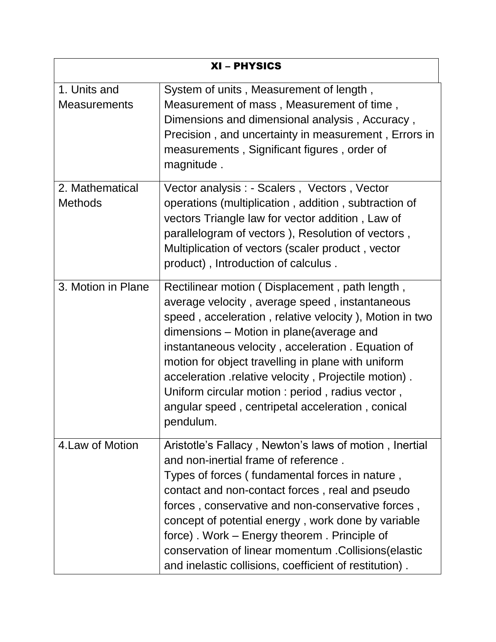| XI - PHYSICS                        |                                                                                                                                                                                                                                                                                                                                                                                                                                                                                                 |  |
|-------------------------------------|-------------------------------------------------------------------------------------------------------------------------------------------------------------------------------------------------------------------------------------------------------------------------------------------------------------------------------------------------------------------------------------------------------------------------------------------------------------------------------------------------|--|
| 1. Units and<br><b>Measurements</b> | System of units, Measurement of length,<br>Measurement of mass, Measurement of time,<br>Dimensions and dimensional analysis, Accuracy,<br>Precision, and uncertainty in measurement, Errors in<br>measurements, Significant figures, order of<br>magnitude.                                                                                                                                                                                                                                     |  |
| 2. Mathematical<br><b>Methods</b>   | Vector analysis : - Scalers, Vectors, Vector<br>operations (multiplication, addition, subtraction of<br>vectors Triangle law for vector addition, Law of<br>parallelogram of vectors), Resolution of vectors,<br>Multiplication of vectors (scaler product, vector<br>product), Introduction of calculus.                                                                                                                                                                                       |  |
| 3. Motion in Plane                  | Rectilinear motion (Displacement, path length,<br>average velocity, average speed, instantaneous<br>speed, acceleration, relative velocity), Motion in two<br>dimensions – Motion in plane (average and<br>instantaneous velocity, acceleration. Equation of<br>motion for object travelling in plane with uniform<br>acceleration .relative velocity, Projectile motion).<br>Uniform circular motion : period, radius vector,<br>angular speed, centripetal acceleration, conical<br>pendulum. |  |
| 4 Law of Motion                     | Aristotle's Fallacy, Newton's laws of motion, Inertial<br>and non-inertial frame of reference.<br>Types of forces (fundamental forces in nature,<br>contact and non-contact forces, real and pseudo<br>forces, conservative and non-conservative forces,<br>concept of potential energy, work done by variable<br>force). Work – Energy theorem. Principle of<br>conservation of linear momentum . Collisions (elastic<br>and inelastic collisions, coefficient of restitution).                |  |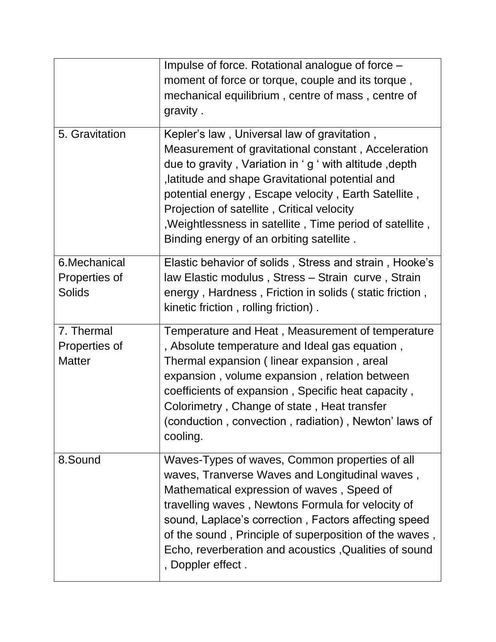| 5. Gravitation                                  | Impulse of force. Rotational analogue of force -<br>moment of force or torque, couple and its torque,<br>mechanical equilibrium, centre of mass, centre of<br>gravity.<br>Kepler's law, Universal law of gravitation,<br>Measurement of gravitational constant, Acceleration<br>due to gravity, Variation in 'g ' with altitude, depth                                                              |
|-------------------------------------------------|-----------------------------------------------------------------------------------------------------------------------------------------------------------------------------------------------------------------------------------------------------------------------------------------------------------------------------------------------------------------------------------------------------|
|                                                 | , latitude and shape Gravitational potential and<br>potential energy, Escape velocity, Earth Satellite,<br>Projection of satellite, Critical velocity<br>, Weightlessness in satellite, Time period of satellite,<br>Binding energy of an orbiting satellite.                                                                                                                                       |
| 6. Mechanical<br>Properties of<br><b>Solids</b> | Elastic behavior of solids, Stress and strain, Hooke's<br>law Elastic modulus, Stress - Strain curve, Strain<br>energy, Hardness, Friction in solids (static friction,<br>kinetic friction, rolling friction).                                                                                                                                                                                      |
| 7. Thermal<br>Properties of<br><b>Matter</b>    | Temperature and Heat, Measurement of temperature<br>, Absolute temperature and Ideal gas equation,<br>Thermal expansion (linear expansion, areal<br>expansion, volume expansion, relation between<br>coefficients of expansion, Specific heat capacity,<br>Colorimetry, Change of state, Heat transfer<br>(conduction, convection, radiation), Newton' laws of<br>cooling.                          |
| 8.Sound                                         | Waves-Types of waves, Common properties of all<br>waves, Tranverse Waves and Longitudinal waves,<br>Mathematical expression of waves, Speed of<br>travelling waves, Newtons Formula for velocity of<br>sound, Laplace's correction, Factors affecting speed<br>of the sound, Principle of superposition of the waves,<br>Echo, reverberation and acoustics, Qualities of sound<br>, Doppler effect. |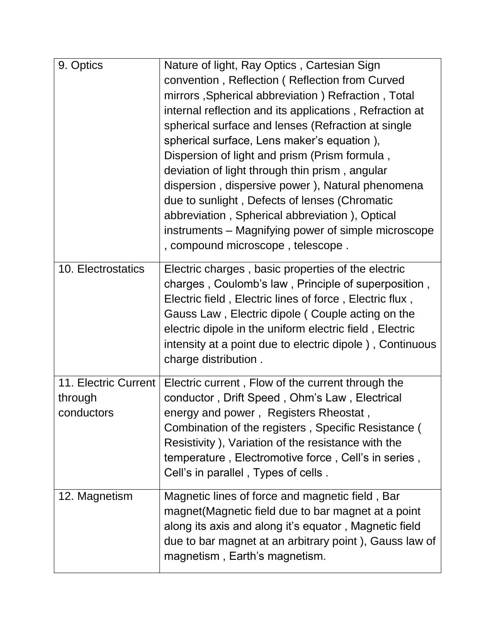| 9. Optics            | Nature of light, Ray Optics, Cartesian Sign                                              |
|----------------------|------------------------------------------------------------------------------------------|
|                      | convention, Reflection (Reflection from Curved                                           |
|                      | mirrors, Spherical abbreviation) Refraction, Total                                       |
|                      | internal reflection and its applications, Refraction at                                  |
|                      | spherical surface and lenses (Refraction at single                                       |
|                      | spherical surface, Lens maker's equation),                                               |
|                      | Dispersion of light and prism (Prism formula,                                            |
|                      | deviation of light through thin prism, angular                                           |
|                      | dispersion, dispersive power), Natural phenomena                                         |
|                      | due to sunlight, Defects of lenses (Chromatic                                            |
|                      | abbreviation, Spherical abbreviation), Optical                                           |
|                      | instruments – Magnifying power of simple microscope<br>, compound microscope, telescope. |
| 10. Electrostatics   | Electric charges, basic properties of the electric                                       |
|                      | charges, Coulomb's law, Principle of superposition,                                      |
|                      | Electric field, Electric lines of force, Electric flux,                                  |
|                      | Gauss Law, Electric dipole (Couple acting on the                                         |
|                      | electric dipole in the uniform electric field, Electric                                  |
|                      | intensity at a point due to electric dipole), Continuous                                 |
|                      | charge distribution.                                                                     |
|                      |                                                                                          |
| 11. Electric Current | Electric current, Flow of the current through the                                        |
| through              | conductor, Drift Speed, Ohm's Law, Electrical                                            |
| conductors           | energy and power, Registers Rheostat,                                                    |
|                      | Combination of the registers, Specific Resistance (                                      |
|                      | Resistivity ), Variation of the resistance with the                                      |
|                      | temperature, Electromotive force, Cell's in series,                                      |
|                      | Cell's in parallel, Types of cells.                                                      |
| 12. Magnetism        | Magnetic lines of force and magnetic field, Bar                                          |
|                      | magnet (Magnetic field due to bar magnet at a point                                      |
|                      | along its axis and along it's equator, Magnetic field                                    |
|                      | due to bar magnet at an arbitrary point), Gauss law of                                   |
|                      | magnetism, Earth's magnetism.                                                            |
|                      |                                                                                          |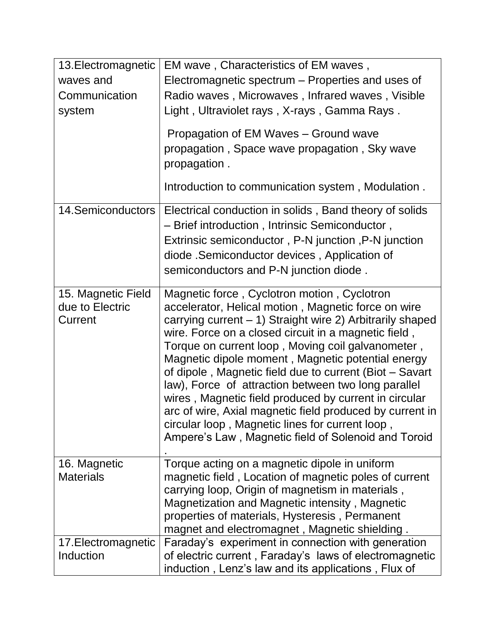| 13. Electromagnetic<br>waves and<br>Communication<br>system | EM wave, Characteristics of EM waves,<br>Electromagnetic spectrum – Properties and uses of<br>Radio waves, Microwaves, Infrared waves, Visible<br>Light, Ultraviolet rays, X-rays, Gamma Rays.                                                                                                                                                                                                                                                                                                                                                                                                                                                                                     |
|-------------------------------------------------------------|------------------------------------------------------------------------------------------------------------------------------------------------------------------------------------------------------------------------------------------------------------------------------------------------------------------------------------------------------------------------------------------------------------------------------------------------------------------------------------------------------------------------------------------------------------------------------------------------------------------------------------------------------------------------------------|
|                                                             | Propagation of EM Waves - Ground wave<br>propagation, Space wave propagation, Sky wave<br>propagation.                                                                                                                                                                                                                                                                                                                                                                                                                                                                                                                                                                             |
|                                                             | Introduction to communication system, Modulation.                                                                                                                                                                                                                                                                                                                                                                                                                                                                                                                                                                                                                                  |
| <b>14 Semiconductors</b>                                    | Electrical conduction in solids, Band theory of solids<br>- Brief introduction, Intrinsic Semiconductor,<br>Extrinsic semiconductor, P-N junction, P-N junction<br>diode . Semiconductor devices, Application of<br>semiconductors and P-N junction diode.                                                                                                                                                                                                                                                                                                                                                                                                                         |
| 15. Magnetic Field<br>due to Electric<br>Current            | Magnetic force, Cyclotron motion, Cyclotron<br>accelerator, Helical motion, Magnetic force on wire<br>carrying current - 1) Straight wire 2) Arbitrarily shaped<br>wire. Force on a closed circuit in a magnetic field,<br>Torque on current loop, Moving coil galvanometer,<br>Magnetic dipole moment, Magnetic potential energy<br>of dipole, Magnetic field due to current (Biot – Savart<br>law), Force of attraction between two long parallel<br>wires, Magnetic field produced by current in circular<br>arc of wire, Axial magnetic field produced by current in<br>circular loop, Magnetic lines for current loop,<br>Ampere's Law, Magnetic field of Solenoid and Toroid |
| 16. Magnetic<br><b>Materials</b>                            | Torque acting on a magnetic dipole in uniform<br>magnetic field, Location of magnetic poles of current<br>carrying loop, Origin of magnetism in materials,<br>Magnetization and Magnetic intensity, Magnetic<br>properties of materials, Hysteresis, Permanent<br>magnet and electromagnet, Magnetic shielding                                                                                                                                                                                                                                                                                                                                                                     |
| 17. Electromagnetic<br>Induction                            | Faraday's experiment in connection with generation<br>of electric current, Faraday's laws of electromagnetic<br>induction, Lenz's law and its applications, Flux of                                                                                                                                                                                                                                                                                                                                                                                                                                                                                                                |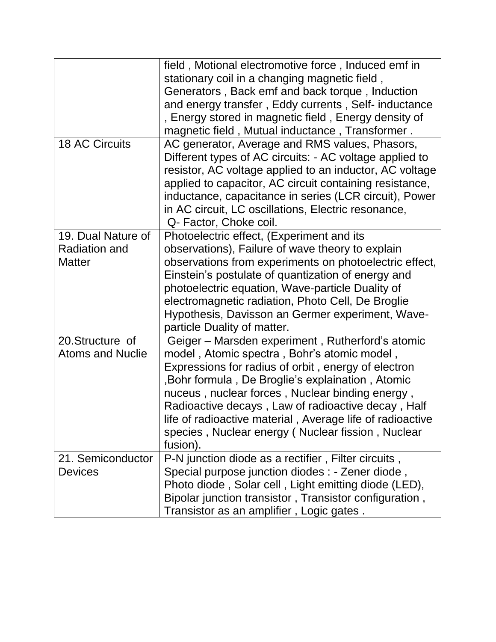|                                                             | field, Motional electromotive force, Induced emf in<br>stationary coil in a changing magnetic field,<br>Generators, Back emf and back torque, Induction<br>and energy transfer, Eddy currents, Self- inductance<br>, Energy stored in magnetic field, Energy density of<br>magnetic field, Mutual inductance, Transformer.                                                                                                                         |
|-------------------------------------------------------------|----------------------------------------------------------------------------------------------------------------------------------------------------------------------------------------------------------------------------------------------------------------------------------------------------------------------------------------------------------------------------------------------------------------------------------------------------|
| <b>18 AC Circuits</b>                                       | AC generator, Average and RMS values, Phasors,<br>Different types of AC circuits: - AC voltage applied to<br>resistor, AC voltage applied to an inductor, AC voltage<br>applied to capacitor, AC circuit containing resistance,<br>inductance, capacitance in series (LCR circuit), Power<br>in AC circuit, LC oscillations, Electric resonance,<br>Q- Factor, Choke coil.                                                                         |
| 19. Dual Nature of<br><b>Radiation and</b><br><b>Matter</b> | Photoelectric effect, (Experiment and its<br>observations), Failure of wave theory to explain<br>observations from experiments on photoelectric effect,<br>Einstein's postulate of quantization of energy and<br>photoelectric equation, Wave-particle Duality of<br>electromagnetic radiation, Photo Cell, De Broglie<br>Hypothesis, Davisson an Germer experiment, Wave-<br>particle Duality of matter.                                          |
| 20. Structure of<br><b>Atoms and Nuclie</b>                 | Geiger – Marsden experiment, Rutherford's atomic<br>model, Atomic spectra, Bohr's atomic model,<br>Expressions for radius of orbit, energy of electron<br>, Bohr formula, De Broglie's explaination, Atomic<br>nuceus, nuclear forces, Nuclear binding energy,<br>Radioactive decays, Law of radioactive decay, Half<br>life of radioactive material, Average life of radioactive<br>species, Nuclear energy (Nuclear fission, Nuclear<br>fusion). |
| 21. Semiconductor<br><b>Devices</b>                         | P-N junction diode as a rectifier, Filter circuits,<br>Special purpose junction diodes : - Zener diode,<br>Photo diode, Solar cell, Light emitting diode (LED),<br>Bipolar junction transistor, Transistor configuration,<br>Transistor as an amplifier, Logic gates.                                                                                                                                                                              |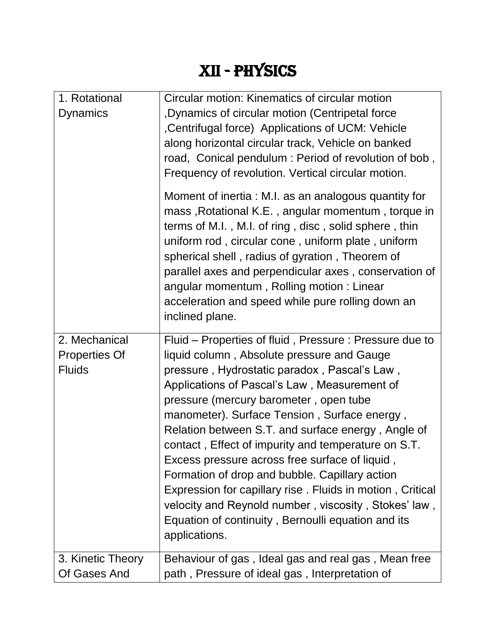### XII - physics

| 1. Rotational                                          | Circular motion: Kinematics of circular motion                                                                                                                                                                                                                                                                                                                                                                                                                                                                                                                                                                                                                                                              |
|--------------------------------------------------------|-------------------------------------------------------------------------------------------------------------------------------------------------------------------------------------------------------------------------------------------------------------------------------------------------------------------------------------------------------------------------------------------------------------------------------------------------------------------------------------------------------------------------------------------------------------------------------------------------------------------------------------------------------------------------------------------------------------|
| <b>Dynamics</b>                                        | , Dynamics of circular motion (Centripetal force<br>, Centrifugal force) Applications of UCM: Vehicle<br>along horizontal circular track, Vehicle on banked<br>road, Conical pendulum: Period of revolution of bob,<br>Frequency of revolution. Vertical circular motion.                                                                                                                                                                                                                                                                                                                                                                                                                                   |
|                                                        | Moment of inertia: M.I. as an analogous quantity for<br>mass, Rotational K.E., angular momentum, torque in<br>terms of M.I., M.I. of ring, disc, solid sphere, thin<br>uniform rod, circular cone, uniform plate, uniform<br>spherical shell, radius of gyration, Theorem of<br>parallel axes and perpendicular axes, conservation of<br>angular momentum, Rolling motion: Linear<br>acceleration and speed while pure rolling down an<br>inclined plane.                                                                                                                                                                                                                                                   |
| 2. Mechanical<br><b>Properties Of</b><br><b>Fluids</b> | Fluid – Properties of fluid, Pressure: Pressure due to<br>liquid column, Absolute pressure and Gauge<br>pressure, Hydrostatic paradox, Pascal's Law,<br>Applications of Pascal's Law, Measurement of<br>pressure (mercury barometer, open tube<br>manometer). Surface Tension, Surface energy,<br>Relation between S.T. and surface energy, Angle of<br>contact, Effect of impurity and temperature on S.T.<br>Excess pressure across free surface of liquid,<br>Formation of drop and bubble. Capillary action<br>Expression for capillary rise. Fluids in motion, Critical<br>velocity and Reynold number, viscosity, Stokes' law,<br>Equation of continuity, Bernoulli equation and its<br>applications. |
| 3. Kinetic Theory<br>Of Gases And                      | Behaviour of gas, Ideal gas and real gas, Mean free<br>path, Pressure of ideal gas, Interpretation of                                                                                                                                                                                                                                                                                                                                                                                                                                                                                                                                                                                                       |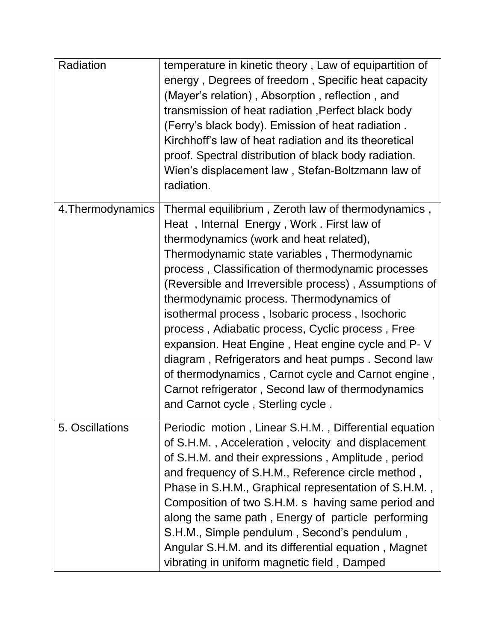| Radiation         | temperature in kinetic theory, Law of equipartition of<br>energy, Degrees of freedom, Specific heat capacity<br>(Mayer's relation), Absorption, reflection, and<br>transmission of heat radiation, Perfect black body<br>(Ferry's black body). Emission of heat radiation.<br>Kirchhoff's law of heat radiation and its theoretical<br>proof. Spectral distribution of black body radiation.<br>Wien's displacement law, Stefan-Boltzmann law of<br>radiation.                                                                                                                                                                                                                                                         |
|-------------------|------------------------------------------------------------------------------------------------------------------------------------------------------------------------------------------------------------------------------------------------------------------------------------------------------------------------------------------------------------------------------------------------------------------------------------------------------------------------------------------------------------------------------------------------------------------------------------------------------------------------------------------------------------------------------------------------------------------------|
| 4. Thermodynamics | Thermal equilibrium, Zeroth law of thermodynamics,<br>Heat, Internal Energy, Work. First law of<br>thermodynamics (work and heat related),<br>Thermodynamic state variables, Thermodynamic<br>process, Classification of thermodynamic processes<br>(Reversible and Irreversible process), Assumptions of<br>thermodynamic process. Thermodynamics of<br>isothermal process, Isobaric process, Isochoric<br>process, Adiabatic process, Cyclic process, Free<br>expansion. Heat Engine, Heat engine cycle and P-V<br>diagram, Refrigerators and heat pumps. Second law<br>of thermodynamics, Carnot cycle and Carnot engine,<br>Carnot refrigerator, Second law of thermodynamics<br>and Carnot cycle, Sterling cycle. |
| 5. Oscillations   | Periodic motion, Linear S.H.M., Differential equation<br>of S.H.M., Acceleration, velocity and displacement<br>of S.H.M. and their expressions, Amplitude, period<br>and frequency of S.H.M., Reference circle method,<br>Phase in S.H.M., Graphical representation of S.H.M.,<br>Composition of two S.H.M. s having same period and<br>along the same path, Energy of particle performing<br>S.H.M., Simple pendulum, Second's pendulum,<br>Angular S.H.M. and its differential equation, Magnet<br>vibrating in uniform magnetic field, Damped                                                                                                                                                                       |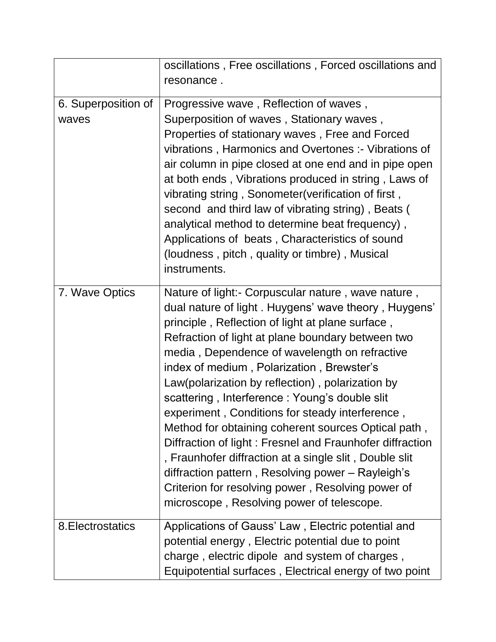|                              | oscillations, Free oscillations, Forced oscillations and<br>resonance.                                                                                                                                                                                                                                                                                                                                                                                                                                                                                                                                                                                                                                                                                                                                         |
|------------------------------|----------------------------------------------------------------------------------------------------------------------------------------------------------------------------------------------------------------------------------------------------------------------------------------------------------------------------------------------------------------------------------------------------------------------------------------------------------------------------------------------------------------------------------------------------------------------------------------------------------------------------------------------------------------------------------------------------------------------------------------------------------------------------------------------------------------|
| 6. Superposition of<br>waves | Progressive wave, Reflection of waves,<br>Superposition of waves, Stationary waves,<br>Properties of stationary waves, Free and Forced<br>vibrations, Harmonics and Overtones: - Vibrations of<br>air column in pipe closed at one end and in pipe open<br>at both ends, Vibrations produced in string, Laws of<br>vibrating string, Sonometer(verification of first,<br>second and third law of vibrating string), Beats (<br>analytical method to determine beat frequency),<br>Applications of beats, Characteristics of sound<br>(loudness, pitch, quality or timbre), Musical<br>instruments.                                                                                                                                                                                                             |
| 7. Wave Optics               | Nature of light:- Corpuscular nature, wave nature,<br>dual nature of light. Huygens' wave theory, Huygens'<br>principle, Reflection of light at plane surface,<br>Refraction of light at plane boundary between two<br>media, Dependence of wavelength on refractive<br>index of medium, Polarization, Brewster's<br>Law(polarization by reflection), polarization by<br>scattering, Interference: Young's double slit<br>experiment, Conditions for steady interference,<br>Method for obtaining coherent sources Optical path,<br>Diffraction of light: Fresnel and Fraunhofer diffraction<br>, Fraunhofer diffraction at a single slit , Double slit<br>diffraction pattern, Resolving power - Rayleigh's<br>Criterion for resolving power, Resolving power of<br>microscope, Resolving power of telescope. |
| 8. Electrostatics            | Applications of Gauss' Law, Electric potential and<br>potential energy, Electric potential due to point<br>charge, electric dipole and system of charges,<br>Equipotential surfaces, Electrical energy of two point                                                                                                                                                                                                                                                                                                                                                                                                                                                                                                                                                                                            |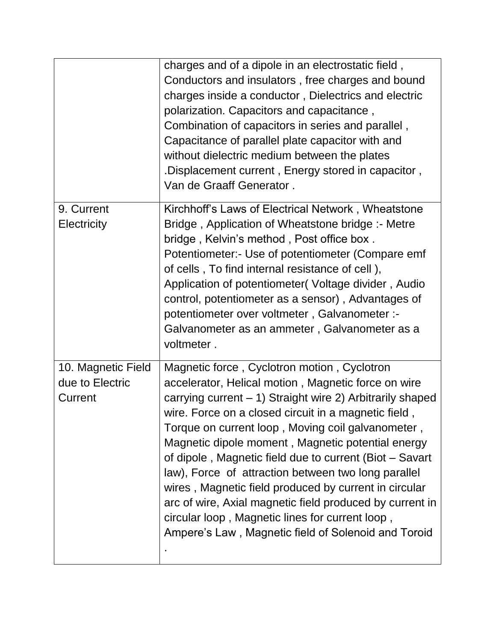|                                                  | charges and of a dipole in an electrostatic field,<br>Conductors and insulators, free charges and bound<br>charges inside a conductor, Dielectrics and electric<br>polarization. Capacitors and capacitance,<br>Combination of capacitors in series and parallel,<br>Capacitance of parallel plate capacitor with and<br>without dielectric medium between the plates<br>. Displacement current, Energy stored in capacitor.<br>Van de Graaff Generator.                                                                                                                                                                                                                           |
|--------------------------------------------------|------------------------------------------------------------------------------------------------------------------------------------------------------------------------------------------------------------------------------------------------------------------------------------------------------------------------------------------------------------------------------------------------------------------------------------------------------------------------------------------------------------------------------------------------------------------------------------------------------------------------------------------------------------------------------------|
| 9. Current<br>Electricity                        | Kirchhoff's Laws of Electrical Network, Wheatstone<br>Bridge, Application of Wheatstone bridge: - Metre<br>bridge, Kelvin's method, Post office box.<br>Potentiometer: Use of potentiometer (Compare emf<br>of cells, To find internal resistance of cell),<br>Application of potentiometer(Voltage divider, Audio<br>control, potentiometer as a sensor), Advantages of<br>potentiometer over voltmeter, Galvanometer :-<br>Galvanometer as an ammeter, Galvanometer as a<br>voltmeter.                                                                                                                                                                                           |
| 10. Magnetic Field<br>due to Electric<br>Current | Magnetic force, Cyclotron motion, Cyclotron<br>accelerator, Helical motion, Magnetic force on wire<br>carrying current – 1) Straight wire 2) Arbitrarily shaped<br>wire. Force on a closed circuit in a magnetic field,<br>Torque on current loop, Moving coil galvanometer,<br>Magnetic dipole moment, Magnetic potential energy<br>of dipole, Magnetic field due to current (Biot - Savart<br>law), Force of attraction between two long parallel<br>wires, Magnetic field produced by current in circular<br>arc of wire, Axial magnetic field produced by current in<br>circular loop, Magnetic lines for current loop,<br>Ampere's Law, Magnetic field of Solenoid and Toroid |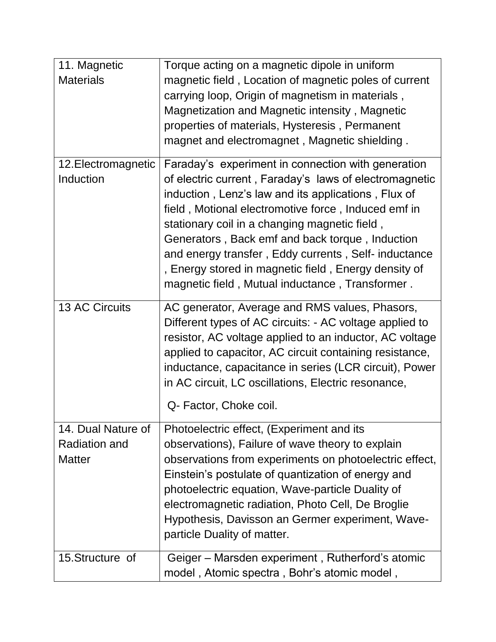| 11. Magnetic          | Torque acting on a magnetic dipole in uniform           |
|-----------------------|---------------------------------------------------------|
| <b>Materials</b>      | magnetic field, Location of magnetic poles of current   |
|                       | carrying loop, Origin of magnetism in materials,        |
|                       | Magnetization and Magnetic intensity, Magnetic          |
|                       | properties of materials, Hysteresis, Permanent          |
|                       | magnet and electromagnet, Magnetic shielding.           |
| 12. Electromagnetic   | Faraday's experiment in connection with generation      |
| Induction             | of electric current, Faraday's laws of electromagnetic  |
|                       | induction, Lenz's law and its applications, Flux of     |
|                       | field, Motional electromotive force, Induced emf in     |
|                       | stationary coil in a changing magnetic field,           |
|                       | Generators, Back emf and back torque, Induction         |
|                       | and energy transfer, Eddy currents, Self- inductance    |
|                       | , Energy stored in magnetic field, Energy density of    |
|                       | magnetic field, Mutual inductance, Transformer.         |
| <b>13 AC Circuits</b> | AC generator, Average and RMS values, Phasors,          |
|                       | Different types of AC circuits: - AC voltage applied to |
|                       | resistor, AC voltage applied to an inductor, AC voltage |
|                       | applied to capacitor, AC circuit containing resistance, |
|                       | inductance, capacitance in series (LCR circuit), Power  |
|                       | in AC circuit, LC oscillations, Electric resonance,     |
|                       | Q- Factor, Choke coil.                                  |
| 14. Dual Nature of    | Photoelectric effect, (Experiment and its               |
| <b>Radiation and</b>  | observations), Failure of wave theory to explain        |
| <b>Matter</b>         | observations from experiments on photoelectric effect,  |
|                       | Einstein's postulate of quantization of energy and      |
|                       | photoelectric equation, Wave-particle Duality of        |
|                       | electromagnetic radiation, Photo Cell, De Broglie       |
|                       | Hypothesis, Davisson an Germer experiment, Wave-        |
|                       | particle Duality of matter.                             |
| 15. Structure of      | Geiger – Marsden experiment, Rutherford's atomic        |
|                       | model, Atomic spectra, Bohr's atomic model,             |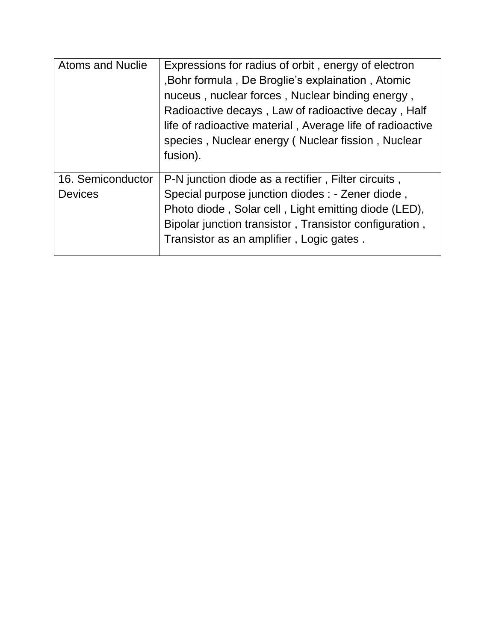| <b>Atoms and Nuclie</b>             | Expressions for radius of orbit, energy of electron<br>, Bohr formula, De Broglie's explaination, Atomic<br>nuceus, nuclear forces, Nuclear binding energy,<br>Radioactive decays, Law of radioactive decay, Half<br>life of radioactive material, Average life of radioactive<br>species, Nuclear energy (Nuclear fission, Nuclear<br>fusion). |
|-------------------------------------|-------------------------------------------------------------------------------------------------------------------------------------------------------------------------------------------------------------------------------------------------------------------------------------------------------------------------------------------------|
| 16. Semiconductor<br><b>Devices</b> | P-N junction diode as a rectifier, Filter circuits,<br>Special purpose junction diodes : - Zener diode,<br>Photo diode, Solar cell, Light emitting diode (LED),<br>Bipolar junction transistor, Transistor configuration,<br>Transistor as an amplifier, Logic gates.                                                                           |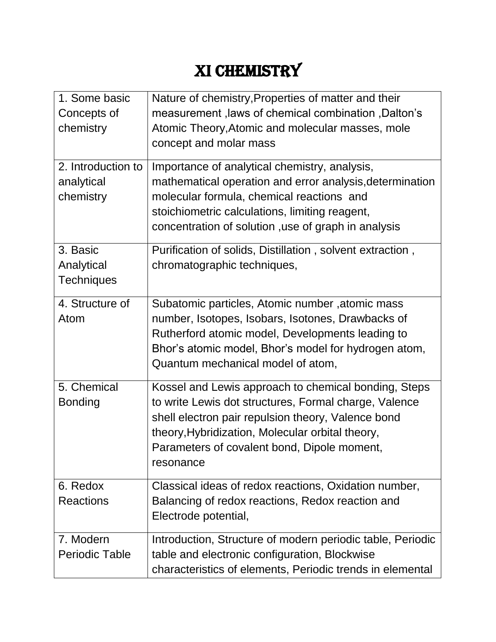# XI CHEMISTRY

| 1. Some basic         | Nature of chemistry, Properties of matter and their        |
|-----------------------|------------------------------------------------------------|
| Concepts of           | measurement, laws of chemical combination, Dalton's        |
| chemistry             | Atomic Theory, Atomic and molecular masses, mole           |
|                       | concept and molar mass                                     |
| 2. Introduction to    | Importance of analytical chemistry, analysis,              |
| analytical            | mathematical operation and error analysis, determination   |
| chemistry             | molecular formula, chemical reactions and                  |
|                       | stoichiometric calculations, limiting reagent,             |
|                       | concentration of solution, use of graph in analysis        |
| 3. Basic              | Purification of solids, Distillation, solvent extraction,  |
| Analytical            | chromatographic techniques,                                |
| <b>Techniques</b>     |                                                            |
| 4. Structure of       | Subatomic particles, Atomic number, atomic mass            |
| Atom                  | number, Isotopes, Isobars, Isotones, Drawbacks of          |
|                       | Rutherford atomic model, Developments leading to           |
|                       | Bhor's atomic model, Bhor's model for hydrogen atom,       |
|                       | Quantum mechanical model of atom,                          |
| 5. Chemical           | Kossel and Lewis approach to chemical bonding, Steps       |
| <b>Bonding</b>        | to write Lewis dot structures, Formal charge, Valence      |
|                       | shell electron pair repulsion theory, Valence bond         |
|                       | theory, Hybridization, Molecular orbital theory,           |
|                       | Parameters of covalent bond, Dipole moment,                |
|                       | resonance                                                  |
| 6. Redox              | Classical ideas of redox reactions, Oxidation number,      |
| <b>Reactions</b>      | Balancing of redox reactions, Redox reaction and           |
|                       | Electrode potential,                                       |
| 7. Modern             | Introduction, Structure of modern periodic table, Periodic |
| <b>Periodic Table</b> | table and electronic configuration, Blockwise              |
|                       | characteristics of elements, Periodic trends in elemental  |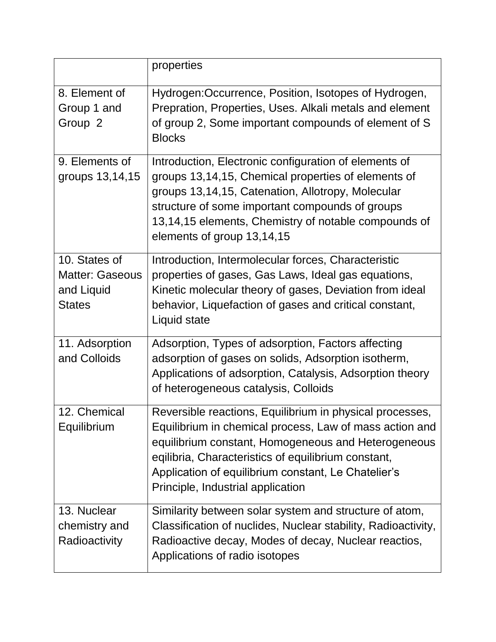|                                                                        | properties                                                                                                                                                                                                                                                                                                                    |
|------------------------------------------------------------------------|-------------------------------------------------------------------------------------------------------------------------------------------------------------------------------------------------------------------------------------------------------------------------------------------------------------------------------|
| 8. Element of<br>Group 1 and<br>Group <sub>2</sub>                     | Hydrogen: Occurrence, Position, Isotopes of Hydrogen,<br>Prepration, Properties, Uses. Alkali metals and element<br>of group 2, Some important compounds of element of S<br><b>Blocks</b>                                                                                                                                     |
| 9. Elements of<br>groups 13,14,15                                      | Introduction, Electronic configuration of elements of<br>groups 13,14,15, Chemical properties of elements of<br>groups 13,14,15, Catenation, Allotropy, Molecular<br>structure of some important compounds of groups<br>13,14,15 elements, Chemistry of notable compounds of<br>elements of group 13,14,15                    |
| 10. States of<br><b>Matter: Gaseous</b><br>and Liquid<br><b>States</b> | Introduction, Intermolecular forces, Characteristic<br>properties of gases, Gas Laws, Ideal gas equations,<br>Kinetic molecular theory of gases, Deviation from ideal<br>behavior, Liquefaction of gases and critical constant,<br>Liquid state                                                                               |
| 11. Adsorption<br>and Colloids                                         | Adsorption, Types of adsorption, Factors affecting<br>adsorption of gases on solids, Adsorption isotherm,<br>Applications of adsorption, Catalysis, Adsorption theory<br>of heterogeneous catalysis, Colloids                                                                                                                 |
| 12. Chemical<br>Equilibrium                                            | Reversible reactions, Equilibrium in physical processes,<br>Equilibrium in chemical process, Law of mass action and<br>equilibrium constant, Homogeneous and Heterogeneous<br>eqilibria, Characteristics of equilibrium constant,<br>Application of equilibrium constant, Le Chatelier's<br>Principle, Industrial application |
| 13. Nuclear<br>chemistry and<br>Radioactivity                          | Similarity between solar system and structure of atom,<br>Classification of nuclides, Nuclear stability, Radioactivity,<br>Radioactive decay, Modes of decay, Nuclear reactios,<br>Applications of radio isotopes                                                                                                             |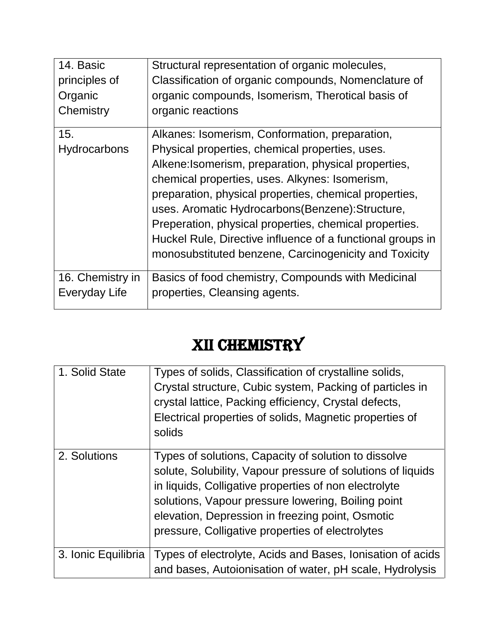| 14. Basic                  | Structural representation of organic molecules,                                                                                                                                                                                                                                                                                                                                                                                                                                                             |
|----------------------------|-------------------------------------------------------------------------------------------------------------------------------------------------------------------------------------------------------------------------------------------------------------------------------------------------------------------------------------------------------------------------------------------------------------------------------------------------------------------------------------------------------------|
| principles of              | Classification of organic compounds, Nomenclature of                                                                                                                                                                                                                                                                                                                                                                                                                                                        |
| Organic                    | organic compounds, Isomerism, Therotical basis of                                                                                                                                                                                                                                                                                                                                                                                                                                                           |
| Chemistry                  | organic reactions                                                                                                                                                                                                                                                                                                                                                                                                                                                                                           |
| 15.<br><b>Hydrocarbons</b> | Alkanes: Isomerism, Conformation, preparation,<br>Physical properties, chemical properties, uses.<br>Alkene: Isomerism, preparation, physical properties,<br>chemical properties, uses. Alkynes: Isomerism,<br>preparation, physical properties, chemical properties,<br>uses. Aromatic Hydrocarbons (Benzene): Structure,<br>Preperation, physical properties, chemical properties.<br>Huckel Rule, Directive influence of a functional groups in<br>monosubstituted benzene, Carcinogenicity and Toxicity |
| 16. Chemistry in           | Basics of food chemistry, Compounds with Medicinal                                                                                                                                                                                                                                                                                                                                                                                                                                                          |
| Everyday Life              | properties, Cleansing agents.                                                                                                                                                                                                                                                                                                                                                                                                                                                                               |

## XII CHEMISTRY

| 1. Solid State      | Types of solids, Classification of crystalline solids,<br>Crystal structure, Cubic system, Packing of particles in<br>crystal lattice, Packing efficiency, Crystal defects,<br>Electrical properties of solids, Magnetic properties of<br>solids                                                                                           |
|---------------------|--------------------------------------------------------------------------------------------------------------------------------------------------------------------------------------------------------------------------------------------------------------------------------------------------------------------------------------------|
| 2. Solutions        | Types of solutions, Capacity of solution to dissolve<br>solute, Solubility, Vapour pressure of solutions of liquids<br>in liquids, Colligative properties of non electrolyte<br>solutions, Vapour pressure lowering, Boiling point<br>elevation, Depression in freezing point, Osmotic<br>pressure, Colligative properties of electrolytes |
| 3. Ionic Equilibria | Types of electrolyte, Acids and Bases, Ionisation of acids<br>and bases, Autoionisation of water, pH scale, Hydrolysis                                                                                                                                                                                                                     |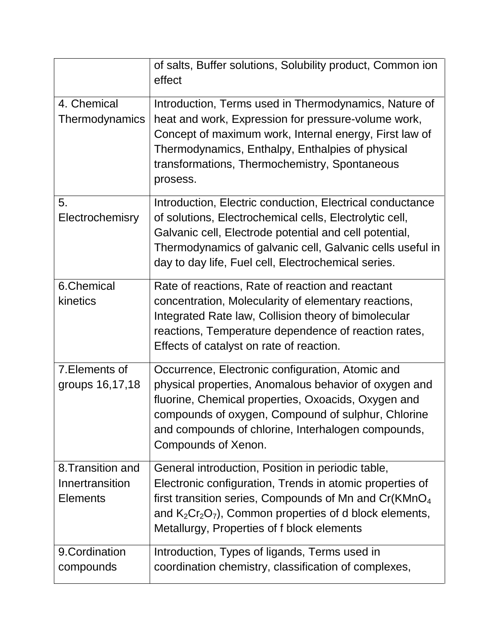|                                                         | of salts, Buffer solutions, Solubility product, Common ion<br>effect                                                                                                                                                                                                                                |
|---------------------------------------------------------|-----------------------------------------------------------------------------------------------------------------------------------------------------------------------------------------------------------------------------------------------------------------------------------------------------|
| 4. Chemical<br>Thermodynamics                           | Introduction, Terms used in Thermodynamics, Nature of<br>heat and work, Expression for pressure-volume work,<br>Concept of maximum work, Internal energy, First law of<br>Thermodynamics, Enthalpy, Enthalpies of physical<br>transformations, Thermochemistry, Spontaneous<br>prosess.             |
| 5.<br>Electrochemisry                                   | Introduction, Electric conduction, Electrical conductance<br>of solutions, Electrochemical cells, Electrolytic cell,<br>Galvanic cell, Electrode potential and cell potential,<br>Thermodynamics of galvanic cell, Galvanic cells useful in<br>day to day life, Fuel cell, Electrochemical series.  |
| 6.Chemical<br>kinetics                                  | Rate of reactions, Rate of reaction and reactant<br>concentration, Molecularity of elementary reactions,<br>Integrated Rate law, Collision theory of bimolecular<br>reactions, Temperature dependence of reaction rates,<br>Effects of catalyst on rate of reaction.                                |
| 7. Elements of<br>groups 16,17,18                       | Occurrence, Electronic configuration, Atomic and<br>physical properties, Anomalous behavior of oxygen and<br>fluorine, Chemical properties, Oxoacids, Oxygen and<br>compounds of oxygen, Compound of sulphur, Chlorine<br>and compounds of chlorine, Interhalogen compounds,<br>Compounds of Xenon. |
| 8. Transition and<br>Innertransition<br><b>Elements</b> | General introduction, Position in periodic table,<br>Electronic configuration, Trends in atomic properties of<br>first transition series, Compounds of Mn and $Cr(KMnO4)$<br>and $K_2Cr_2O_7$ , Common properties of d block elements,<br>Metallurgy, Properties of f block elements                |
| 9. Cordination<br>compounds                             | Introduction, Types of ligands, Terms used in<br>coordination chemistry, classification of complexes,                                                                                                                                                                                               |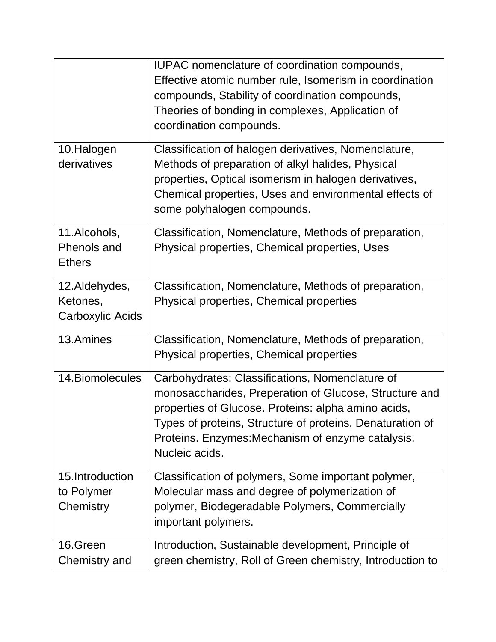|                                               | IUPAC nomenclature of coordination compounds,<br>Effective atomic number rule, Isomerism in coordination<br>compounds, Stability of coordination compounds,<br>Theories of bonding in complexes, Application of<br>coordination compounds.                                                           |
|-----------------------------------------------|------------------------------------------------------------------------------------------------------------------------------------------------------------------------------------------------------------------------------------------------------------------------------------------------------|
| 10.Halogen<br>derivatives                     | Classification of halogen derivatives, Nomenclature,<br>Methods of preparation of alkyl halides, Physical<br>properties, Optical isomerism in halogen derivatives,<br>Chemical properties, Uses and environmental effects of<br>some polyhalogen compounds.                                          |
| 11.Alcohols,<br>Phenols and<br><b>Ethers</b>  | Classification, Nomenclature, Methods of preparation,<br>Physical properties, Chemical properties, Uses                                                                                                                                                                                              |
| 12.Aldehydes,<br>Ketones,<br>Carboxylic Acids | Classification, Nomenclature, Methods of preparation,<br>Physical properties, Chemical properties                                                                                                                                                                                                    |
| 13.Amines                                     | Classification, Nomenclature, Methods of preparation,<br>Physical properties, Chemical properties                                                                                                                                                                                                    |
| 14. Biomolecules                              | Carbohydrates: Classifications, Nomenclature of<br>monosaccharides, Preperation of Glucose, Structure and<br>properties of Glucose. Proteins: alpha amino acids,<br>Types of proteins, Structure of proteins, Denaturation of<br>Proteins. Enzymes: Mechanism of enzyme catalysis.<br>Nucleic acids. |
| 15.Introduction<br>to Polymer<br>Chemistry    | Classification of polymers, Some important polymer,<br>Molecular mass and degree of polymerization of<br>polymer, Biodegeradable Polymers, Commercially<br>important polymers.                                                                                                                       |
| 16.Green<br>Chemistry and                     | Introduction, Sustainable development, Principle of<br>green chemistry, Roll of Green chemistry, Introduction to                                                                                                                                                                                     |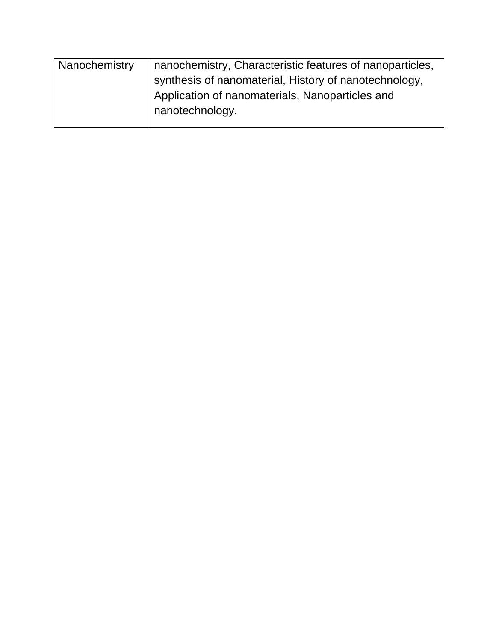| Nanochemistry | nanochemistry, Characteristic features of nanoparticles, |
|---------------|----------------------------------------------------------|
|               | synthesis of nanomaterial, History of nanotechnology,    |
|               | Application of nanomaterials, Nanoparticles and          |
|               | nanotechnology.                                          |
|               |                                                          |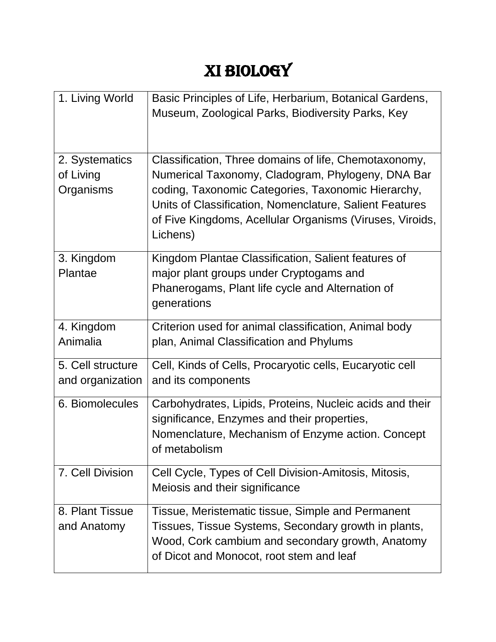# XI BIOLOGY

| 1. Living World                          | Basic Principles of Life, Herbarium, Botanical Gardens,<br>Museum, Zoological Parks, Biodiversity Parks, Key                                                                                                                                                                                        |
|------------------------------------------|-----------------------------------------------------------------------------------------------------------------------------------------------------------------------------------------------------------------------------------------------------------------------------------------------------|
| 2. Systematics<br>of Living<br>Organisms | Classification, Three domains of life, Chemotaxonomy,<br>Numerical Taxonomy, Cladogram, Phylogeny, DNA Bar<br>coding, Taxonomic Categories, Taxonomic Hierarchy,<br>Units of Classification, Nomenclature, Salient Features<br>of Five Kingdoms, Acellular Organisms (Viruses, Viroids,<br>Lichens) |
| 3. Kingdom<br>Plantae                    | Kingdom Plantae Classification, Salient features of<br>major plant groups under Cryptogams and<br>Phanerogams, Plant life cycle and Alternation of<br>generations                                                                                                                                   |
| 4. Kingdom<br>Animalia                   | Criterion used for animal classification, Animal body<br>plan, Animal Classification and Phylums                                                                                                                                                                                                    |
| 5. Cell structure<br>and organization    | Cell, Kinds of Cells, Procaryotic cells, Eucaryotic cell<br>and its components                                                                                                                                                                                                                      |
| 6. Biomolecules                          | Carbohydrates, Lipids, Proteins, Nucleic acids and their<br>significance, Enzymes and their properties,<br>Nomenclature, Mechanism of Enzyme action. Concept<br>of metabolism                                                                                                                       |
| 7. Cell Division                         | Cell Cycle, Types of Cell Division-Amitosis, Mitosis,<br>Meiosis and their significance                                                                                                                                                                                                             |
| 8. Plant Tissue<br>and Anatomy           | Tissue, Meristematic tissue, Simple and Permanent<br>Tissues, Tissue Systems, Secondary growth in plants,<br>Wood, Cork cambium and secondary growth, Anatomy<br>of Dicot and Monocot, root stem and leaf                                                                                           |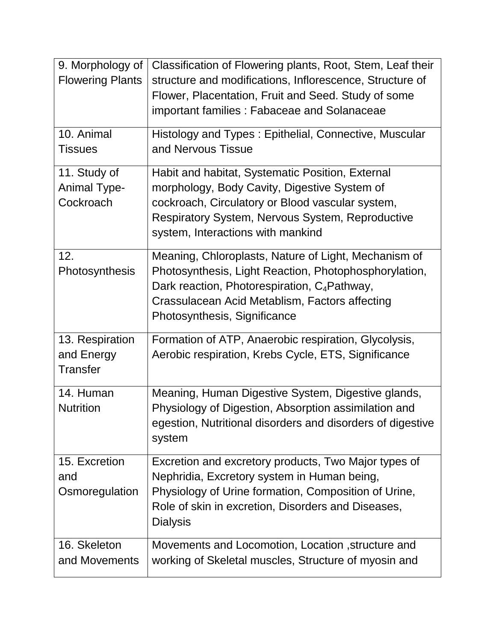| 9. Morphology of<br><b>Flowering Plants</b>      | Classification of Flowering plants, Root, Stem, Leaf their<br>structure and modifications, Inflorescence, Structure of<br>Flower, Placentation, Fruit and Seed. Study of some<br>important families: Fabaceae and Solanaceae                                |
|--------------------------------------------------|-------------------------------------------------------------------------------------------------------------------------------------------------------------------------------------------------------------------------------------------------------------|
| 10. Animal<br><b>Tissues</b>                     | Histology and Types: Epithelial, Connective, Muscular<br>and Nervous Tissue                                                                                                                                                                                 |
| 11. Study of<br><b>Animal Type-</b><br>Cockroach | Habit and habitat, Systematic Position, External<br>morphology, Body Cavity, Digestive System of<br>cockroach, Circulatory or Blood vascular system,<br><b>Respiratory System, Nervous System, Reproductive</b><br>system, Interactions with mankind        |
| 12.<br>Photosynthesis                            | Meaning, Chloroplasts, Nature of Light, Mechanism of<br>Photosynthesis, Light Reaction, Photophosphorylation,<br>Dark reaction, Photorespiration, C <sub>4</sub> Pathway,<br>Crassulacean Acid Metablism, Factors affecting<br>Photosynthesis, Significance |
| 13. Respiration<br>and Energy<br><b>Transfer</b> | Formation of ATP, Anaerobic respiration, Glycolysis,<br>Aerobic respiration, Krebs Cycle, ETS, Significance                                                                                                                                                 |
| 14. Human<br><b>Nutrition</b>                    | Meaning, Human Digestive System, Digestive glands,<br>Physiology of Digestion, Absorption assimilation and<br>egestion, Nutritional disorders and disorders of digestive<br>system                                                                          |
| 15. Excretion<br>and<br>Osmoregulation           | Excretion and excretory products, Two Major types of<br>Nephridia, Excretory system in Human being,<br>Physiology of Urine formation, Composition of Urine,<br>Role of skin in excretion, Disorders and Diseases,<br><b>Dialysis</b>                        |
| 16. Skeleton<br>and Movements                    | Movements and Locomotion, Location, structure and<br>working of Skeletal muscles, Structure of myosin and                                                                                                                                                   |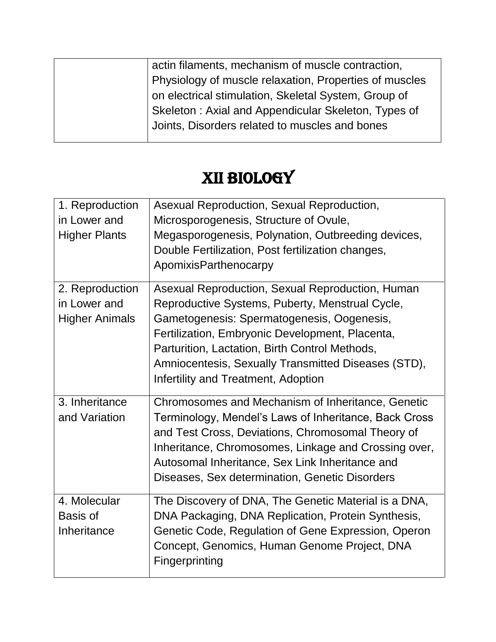|  | actin filaments, mechanism of muscle contraction,      |
|--|--------------------------------------------------------|
|  | Physiology of muscle relaxation, Properties of muscles |
|  | on electrical stimulation, Skeletal System, Group of   |
|  | Skeleton: Axial and Appendicular Skeleton, Types of    |
|  | Joints, Disorders related to muscles and bones         |
|  |                                                        |

### XII BIOLOGY

| 1. Reproduction       | Asexual Reproduction, Sexual Reproduction,            |
|-----------------------|-------------------------------------------------------|
| in Lower and          | Microsporogenesis, Structure of Ovule,                |
| <b>Higher Plants</b>  | Megasporogenesis, Polynation, Outbreeding devices,    |
|                       | Double Fertilization, Post fertilization changes,     |
|                       | ApomixisParthenocarpy                                 |
| 2. Reproduction       | Asexual Reproduction, Sexual Reproduction, Human      |
| in Lower and          | Reproductive Systems, Puberty, Menstrual Cycle,       |
| <b>Higher Animals</b> | Gametogenesis: Spermatogenesis, Oogenesis,            |
|                       | Fertilization, Embryonic Development, Placenta,       |
|                       | Parturition, Lactation, Birth Control Methods,        |
|                       | Amniocentesis, Sexually Transmitted Diseases (STD),   |
|                       | Infertility and Treatment, Adoption                   |
|                       |                                                       |
| 3. Inheritance        | Chromosomes and Mechanism of Inheritance, Genetic     |
| and Variation         | Terminology, Mendel's Laws of Inheritance, Back Cross |
|                       | and Test Cross, Deviations, Chromosomal Theory of     |
|                       | Inheritance, Chromosomes, Linkage and Crossing over,  |
|                       | Autosomal Inheritance, Sex Link Inheritance and       |
|                       | Diseases, Sex determination, Genetic Disorders        |
| 4. Molecular          | The Discovery of DNA, The Genetic Material is a DNA,  |
| Basis of              | DNA Packaging, DNA Replication, Protein Synthesis,    |
| Inheritance           | Genetic Code, Regulation of Gene Expression, Operon   |
|                       | Concept, Genomics, Human Genome Project, DNA          |
|                       | Fingerprinting                                        |
|                       |                                                       |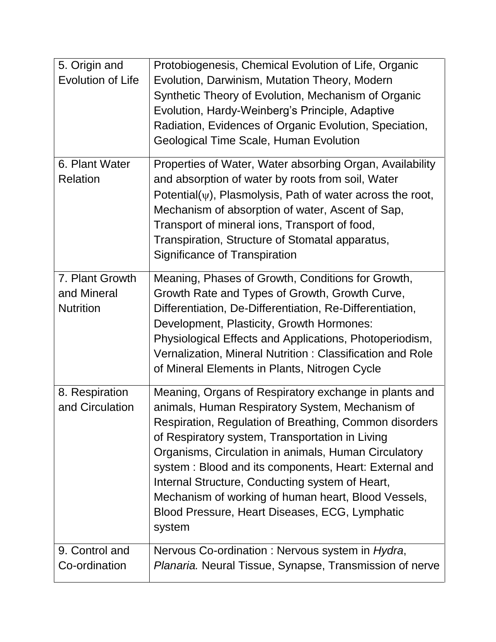| 5. Origin and<br><b>Evolution of Life</b>          | Protobiogenesis, Chemical Evolution of Life, Organic<br>Evolution, Darwinism, Mutation Theory, Modern<br>Synthetic Theory of Evolution, Mechanism of Organic<br>Evolution, Hardy-Weinberg's Principle, Adaptive<br>Radiation, Evidences of Organic Evolution, Speciation,<br>Geological Time Scale, Human Evolution                                                                                                                                                                                          |
|----------------------------------------------------|--------------------------------------------------------------------------------------------------------------------------------------------------------------------------------------------------------------------------------------------------------------------------------------------------------------------------------------------------------------------------------------------------------------------------------------------------------------------------------------------------------------|
| 6. Plant Water<br><b>Relation</b>                  | Properties of Water, Water absorbing Organ, Availability<br>and absorption of water by roots from soil, Water<br>Potential( $\psi$ ), Plasmolysis, Path of water across the root,<br>Mechanism of absorption of water, Ascent of Sap,<br>Transport of mineral ions, Transport of food,<br>Transpiration, Structure of Stomatal apparatus,<br><b>Significance of Transpiration</b>                                                                                                                            |
| 7. Plant Growth<br>and Mineral<br><b>Nutrition</b> | Meaning, Phases of Growth, Conditions for Growth,<br>Growth Rate and Types of Growth, Growth Curve,<br>Differentiation, De-Differentiation, Re-Differentiation,<br>Development, Plasticity, Growth Hormones:<br>Physiological Effects and Applications, Photoperiodism,<br>Vernalization, Mineral Nutrition: Classification and Role<br>of Mineral Elements in Plants, Nitrogen Cycle                                                                                                                        |
| 8. Respiration<br>and Circulation                  | Meaning, Organs of Respiratory exchange in plants and<br>animals, Human Respiratory System, Mechanism of<br>Respiration, Regulation of Breathing, Common disorders<br>of Respiratory system, Transportation in Living<br>Organisms, Circulation in animals, Human Circulatory<br>system: Blood and its components, Heart: External and<br>Internal Structure, Conducting system of Heart,<br>Mechanism of working of human heart, Blood Vessels,<br>Blood Pressure, Heart Diseases, ECG, Lymphatic<br>system |
| 9. Control and<br>Co-ordination                    | Nervous Co-ordination : Nervous system in Hydra,<br>Planaria. Neural Tissue, Synapse, Transmission of nerve                                                                                                                                                                                                                                                                                                                                                                                                  |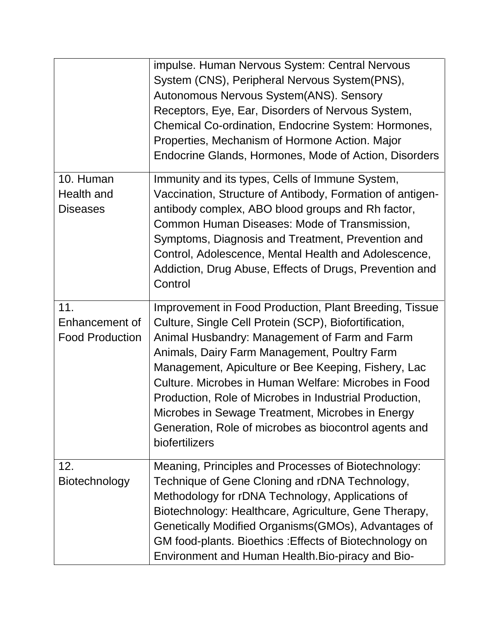|                                                 | impulse. Human Nervous System: Central Nervous<br>System (CNS), Peripheral Nervous System(PNS),<br>Autonomous Nervous System(ANS). Sensory<br>Receptors, Eye, Ear, Disorders of Nervous System,<br>Chemical Co-ordination, Endocrine System: Hormones,<br>Properties, Mechanism of Hormone Action. Major<br>Endocrine Glands, Hormones, Mode of Action, Disorders                                                                                                                                                        |
|-------------------------------------------------|--------------------------------------------------------------------------------------------------------------------------------------------------------------------------------------------------------------------------------------------------------------------------------------------------------------------------------------------------------------------------------------------------------------------------------------------------------------------------------------------------------------------------|
| 10. Human<br>Health and<br><b>Diseases</b>      | Immunity and its types, Cells of Immune System,<br>Vaccination, Structure of Antibody, Formation of antigen-<br>antibody complex, ABO blood groups and Rh factor,<br>Common Human Diseases: Mode of Transmission,<br>Symptoms, Diagnosis and Treatment, Prevention and<br>Control, Adolescence, Mental Health and Adolescence,<br>Addiction, Drug Abuse, Effects of Drugs, Prevention and<br>Control                                                                                                                     |
| 11.<br>Enhancement of<br><b>Food Production</b> | Improvement in Food Production, Plant Breeding, Tissue<br>Culture, Single Cell Protein (SCP), Biofortification,<br>Animal Husbandry: Management of Farm and Farm<br>Animals, Dairy Farm Management, Poultry Farm<br>Management, Apiculture or Bee Keeping, Fishery, Lac<br>Culture. Microbes in Human Welfare: Microbes in Food<br>Production, Role of Microbes in Industrial Production,<br>Microbes in Sewage Treatment, Microbes in Energy<br>Generation, Role of microbes as biocontrol agents and<br>biofertilizers |
| 12.<br>Biotechnology                            | Meaning, Principles and Processes of Biotechnology:<br>Technique of Gene Cloning and rDNA Technology,<br>Methodology for rDNA Technology, Applications of<br>Biotechnology: Healthcare, Agriculture, Gene Therapy,<br>Genetically Modified Organisms (GMOs), Advantages of<br>GM food-plants. Bioethics: Effects of Biotechnology on<br>Environment and Human Health. Bio-piracy and Bio-                                                                                                                                |